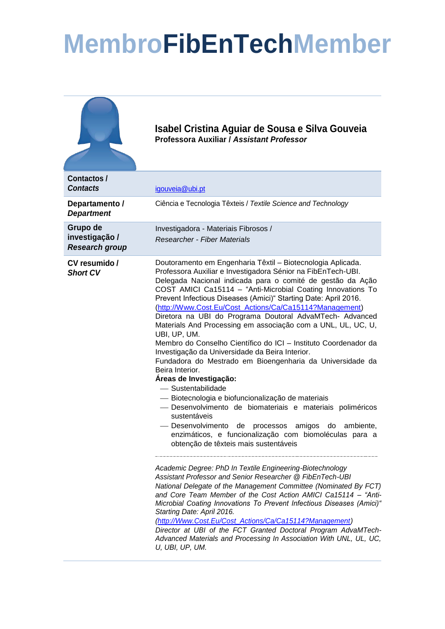## **MembroFibEnTechMember**

|                                                     | Isabel Cristina Aguiar de Sousa e Silva Gouveia<br>Professora Auxiliar / Assistant Professor                                                                                                                                                                                                                                                                                                                                                                                                                                                                                                                                                                                                                                                                                                                                                                                                                                                                                                                                                                                                                                                                                                                                                                                                                                                                                                                                                                                                                                                                                                                                                                                                    |
|-----------------------------------------------------|-------------------------------------------------------------------------------------------------------------------------------------------------------------------------------------------------------------------------------------------------------------------------------------------------------------------------------------------------------------------------------------------------------------------------------------------------------------------------------------------------------------------------------------------------------------------------------------------------------------------------------------------------------------------------------------------------------------------------------------------------------------------------------------------------------------------------------------------------------------------------------------------------------------------------------------------------------------------------------------------------------------------------------------------------------------------------------------------------------------------------------------------------------------------------------------------------------------------------------------------------------------------------------------------------------------------------------------------------------------------------------------------------------------------------------------------------------------------------------------------------------------------------------------------------------------------------------------------------------------------------------------------------------------------------------------------------|
| Contactos/<br><b>Contacts</b>                       | igouveia@ubi.pt                                                                                                                                                                                                                                                                                                                                                                                                                                                                                                                                                                                                                                                                                                                                                                                                                                                                                                                                                                                                                                                                                                                                                                                                                                                                                                                                                                                                                                                                                                                                                                                                                                                                                 |
| Departamento /<br><b>Department</b>                 | Ciência e Tecnologia Têxteis / Textile Science and Technology                                                                                                                                                                                                                                                                                                                                                                                                                                                                                                                                                                                                                                                                                                                                                                                                                                                                                                                                                                                                                                                                                                                                                                                                                                                                                                                                                                                                                                                                                                                                                                                                                                   |
| Grupo de<br>investigação /<br><b>Research group</b> | Investigadora - Materiais Fibrosos /<br><b>Researcher - Fiber Materials</b>                                                                                                                                                                                                                                                                                                                                                                                                                                                                                                                                                                                                                                                                                                                                                                                                                                                                                                                                                                                                                                                                                                                                                                                                                                                                                                                                                                                                                                                                                                                                                                                                                     |
| CV resumido /<br><b>Short CV</b>                    | Doutoramento em Engenharia Têxtil - Biotecnologia Aplicada.<br>Professora Auxiliar e Investigadora Sénior na FibEnTech-UBI.<br>Delegada Nacional indicada para o comité de gestão da Ação<br>COST AMICI Ca15114 - "Anti-Microbial Coating Innovations To<br>Prevent Infectious Diseases (Amici)" Starting Date: April 2016.<br>(http://Www.Cost.Eu/Cost_Actions/Ca/Ca15114?Management)<br>Diretora na UBI do Programa Doutoral AdvaMTech- Advanced<br>Materials And Processing em associação com a UNL, UL, UC, U,<br>UBI, UP, UM.<br>Membro do Conselho Científico do ICI - Instituto Coordenador da<br>Investigação da Universidade da Beira Interior.<br>Fundadora do Mestrado em Bioengenharia da Universidade da<br>Beira Interior.<br>Áreas de Investigação:<br>- Sustentabilidade<br>- Biotecnologia e biofuncionalização de materiais<br>- Desenvolvimento de biomateriais e materiais poliméricos<br>sustentáveis<br>- Desenvolvimento<br>amigos<br>ambiente,<br>de<br>processos<br>do<br>enzimáticos, e funcionalização com biomoléculas para a<br>obtenção de têxteis mais sustentáveis<br>Academic Degree: PhD In Textile Engineering-Biotechnology<br>Assistant Professor and Senior Researcher @ FibEnTech-UBI<br>National Delegate of the Management Committee (Nominated By FCT)<br>and Core Team Member of the Cost Action AMICI Ca15114 - "Anti-<br>Microbial Coating Innovations To Prevent Infectious Diseases (Amici)"<br>Starting Date: April 2016.<br>(http://Www.Cost.Eu/Cost Actions/Ca/Ca15114?Management)<br>Director at UBI of the FCT Granted Doctoral Program AdvaMTech-<br>Advanced Materials and Processing In Association With UNL, UL, UC,<br>U, UBI, UP, UM. |